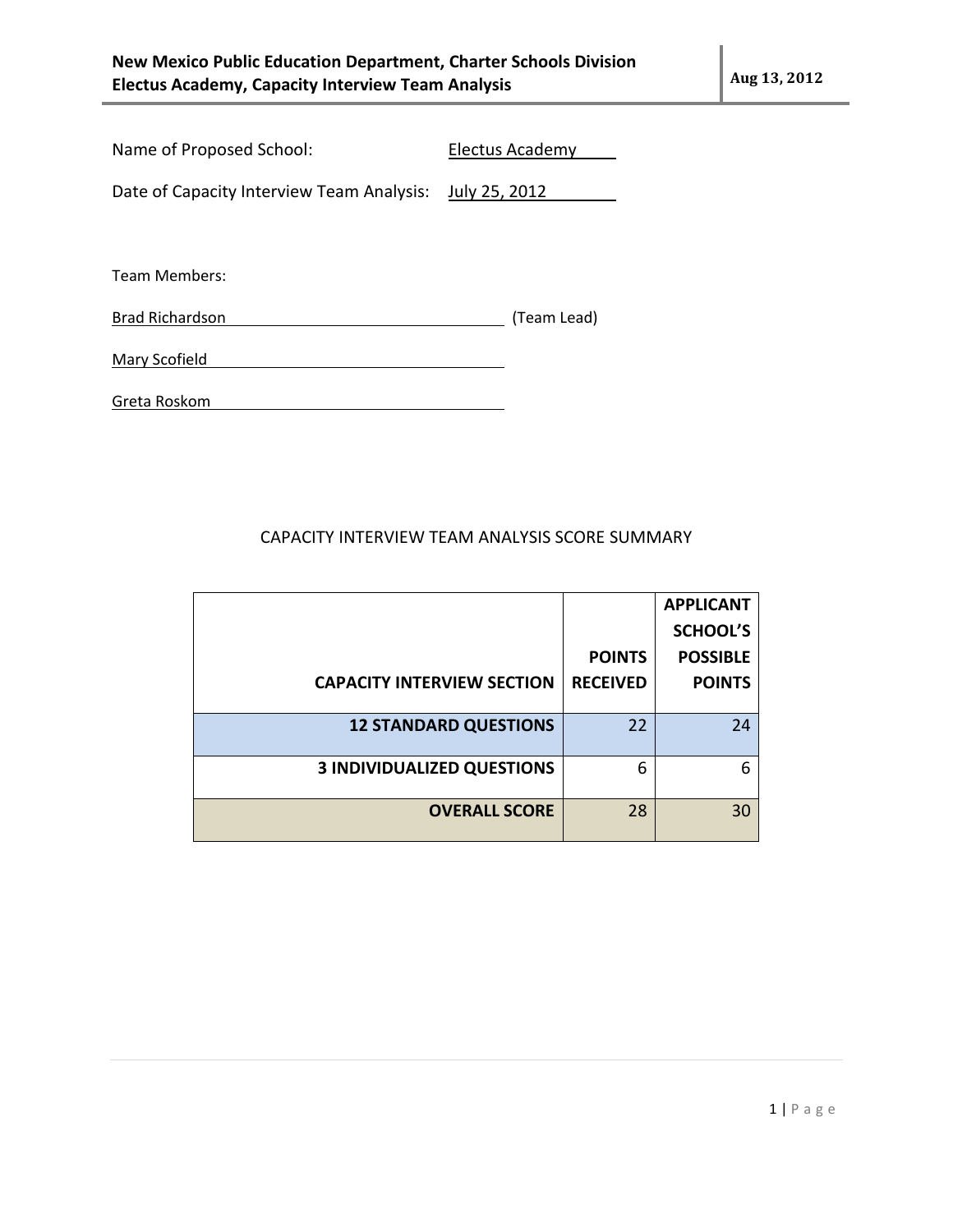| Name of Proposed School: | Electus Academy |
|--------------------------|-----------------|
|                          |                 |

Date of Capacity Interview Team Analysis: July 25, 2012

Team Members:

Brad Richardson **(Team Lead)** (Team Lead)

| Mary Scofield |
|---------------|
|---------------|

Greta Roskom

## CAPACITY INTERVIEW TEAM ANALYSIS SCORE SUMMARY

|                                   |                 | <b>APPLICANT</b> |
|-----------------------------------|-----------------|------------------|
|                                   |                 | <b>SCHOOL'S</b>  |
|                                   | <b>POINTS</b>   | <b>POSSIBLE</b>  |
| <b>CAPACITY INTERVIEW SECTION</b> | <b>RECEIVED</b> | <b>POINTS</b>    |
|                                   |                 |                  |
| <b>12 STANDARD QUESTIONS</b>      | 22              | 24               |
|                                   |                 |                  |
| <b>3 INDIVIDUALIZED QUESTIONS</b> | 6               | 6                |
|                                   |                 |                  |
| <b>OVERALL SCORE</b>              | 28              | 30               |
|                                   |                 |                  |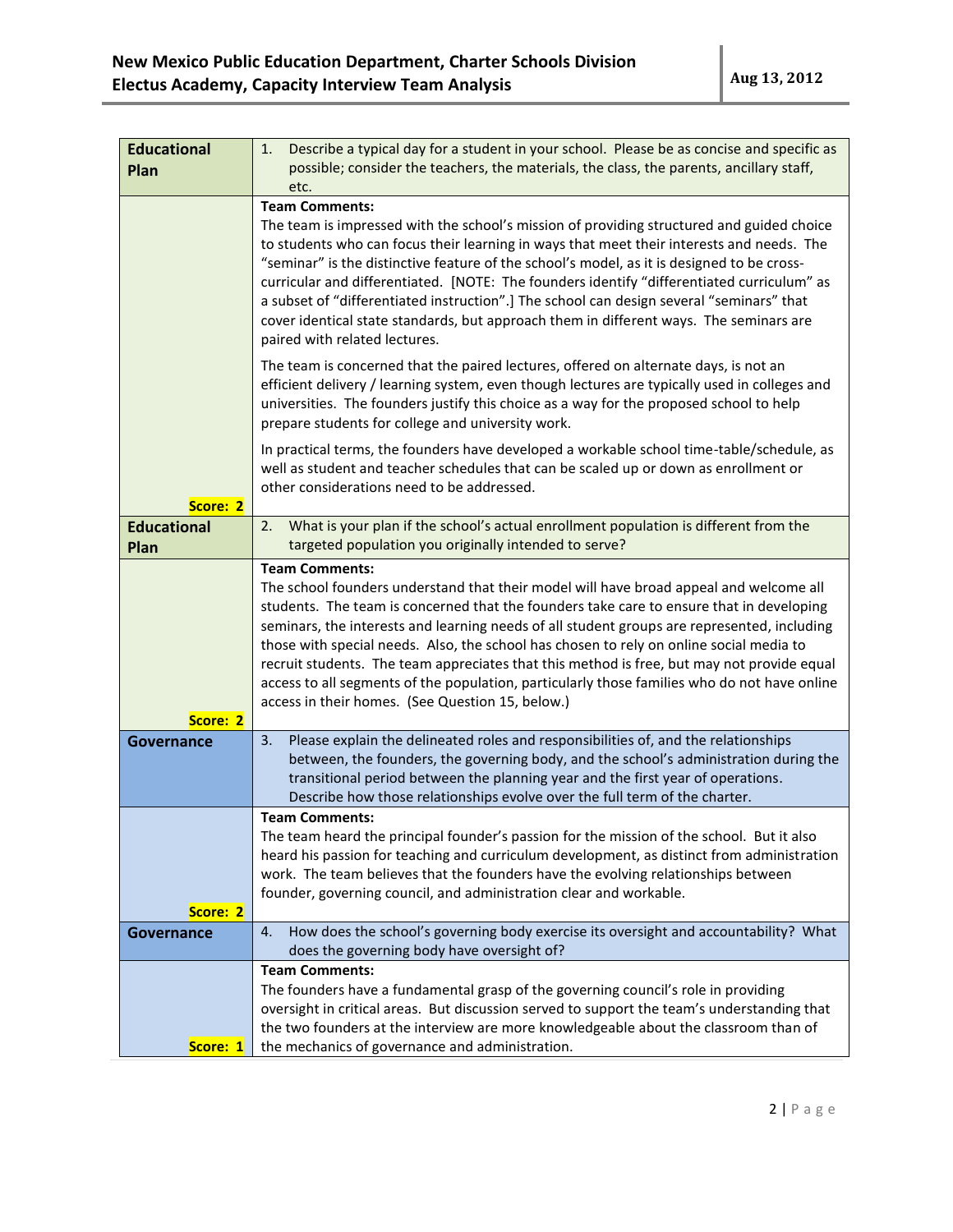| <b>Educational</b><br>Plan | Describe a typical day for a student in your school. Please be as concise and specific as<br>1.<br>possible; consider the teachers, the materials, the class, the parents, ancillary staff,                                                                                                                                                                                                                 |
|----------------------------|-------------------------------------------------------------------------------------------------------------------------------------------------------------------------------------------------------------------------------------------------------------------------------------------------------------------------------------------------------------------------------------------------------------|
|                            | etc.                                                                                                                                                                                                                                                                                                                                                                                                        |
|                            | <b>Team Comments:</b><br>The team is impressed with the school's mission of providing structured and guided choice<br>to students who can focus their learning in ways that meet their interests and needs. The<br>"seminar" is the distinctive feature of the school's model, as it is designed to be cross-<br>curricular and differentiated. [NOTE: The founders identify "differentiated curriculum" as |
|                            | a subset of "differentiated instruction".] The school can design several "seminars" that<br>cover identical state standards, but approach them in different ways. The seminars are<br>paired with related lectures.                                                                                                                                                                                         |
|                            | The team is concerned that the paired lectures, offered on alternate days, is not an<br>efficient delivery / learning system, even though lectures are typically used in colleges and<br>universities. The founders justify this choice as a way for the proposed school to help<br>prepare students for college and university work.                                                                       |
|                            | In practical terms, the founders have developed a workable school time-table/schedule, as<br>well as student and teacher schedules that can be scaled up or down as enrollment or<br>other considerations need to be addressed.                                                                                                                                                                             |
| Score: 2                   |                                                                                                                                                                                                                                                                                                                                                                                                             |
| <b>Educational</b><br>Plan | What is your plan if the school's actual enrollment population is different from the<br>2.<br>targeted population you originally intended to serve?                                                                                                                                                                                                                                                         |
|                            | <b>Team Comments:</b>                                                                                                                                                                                                                                                                                                                                                                                       |
|                            | The school founders understand that their model will have broad appeal and welcome all                                                                                                                                                                                                                                                                                                                      |
|                            | students. The team is concerned that the founders take care to ensure that in developing                                                                                                                                                                                                                                                                                                                    |
|                            | seminars, the interests and learning needs of all student groups are represented, including                                                                                                                                                                                                                                                                                                                 |
|                            | those with special needs. Also, the school has chosen to rely on online social media to                                                                                                                                                                                                                                                                                                                     |
|                            | recruit students. The team appreciates that this method is free, but may not provide equal                                                                                                                                                                                                                                                                                                                  |
|                            | access to all segments of the population, particularly those families who do not have online                                                                                                                                                                                                                                                                                                                |
|                            | access in their homes. (See Question 15, below.)                                                                                                                                                                                                                                                                                                                                                            |
| Score: 2                   |                                                                                                                                                                                                                                                                                                                                                                                                             |
| Governance                 | 3.<br>Please explain the delineated roles and responsibilities of, and the relationships<br>between, the founders, the governing body, and the school's administration during the                                                                                                                                                                                                                           |
|                            | transitional period between the planning year and the first year of operations.                                                                                                                                                                                                                                                                                                                             |
|                            | Describe how those relationships evolve over the full term of the charter.                                                                                                                                                                                                                                                                                                                                  |
|                            | <b>Team Comments:</b>                                                                                                                                                                                                                                                                                                                                                                                       |
|                            | The team heard the principal founder's passion for the mission of the school. But it also                                                                                                                                                                                                                                                                                                                   |
|                            | heard his passion for teaching and curriculum development, as distinct from administration                                                                                                                                                                                                                                                                                                                  |
|                            | work. The team believes that the founders have the evolving relationships between                                                                                                                                                                                                                                                                                                                           |
|                            | founder, governing council, and administration clear and workable.                                                                                                                                                                                                                                                                                                                                          |
| Score: 2                   |                                                                                                                                                                                                                                                                                                                                                                                                             |
| Governance                 | How does the school's governing body exercise its oversight and accountability? What<br>4.<br>does the governing body have oversight of?                                                                                                                                                                                                                                                                    |
|                            | <b>Team Comments:</b>                                                                                                                                                                                                                                                                                                                                                                                       |
|                            | The founders have a fundamental grasp of the governing council's role in providing                                                                                                                                                                                                                                                                                                                          |
|                            | oversight in critical areas. But discussion served to support the team's understanding that                                                                                                                                                                                                                                                                                                                 |
|                            | the two founders at the interview are more knowledgeable about the classroom than of                                                                                                                                                                                                                                                                                                                        |
| Score: 1                   | the mechanics of governance and administration.                                                                                                                                                                                                                                                                                                                                                             |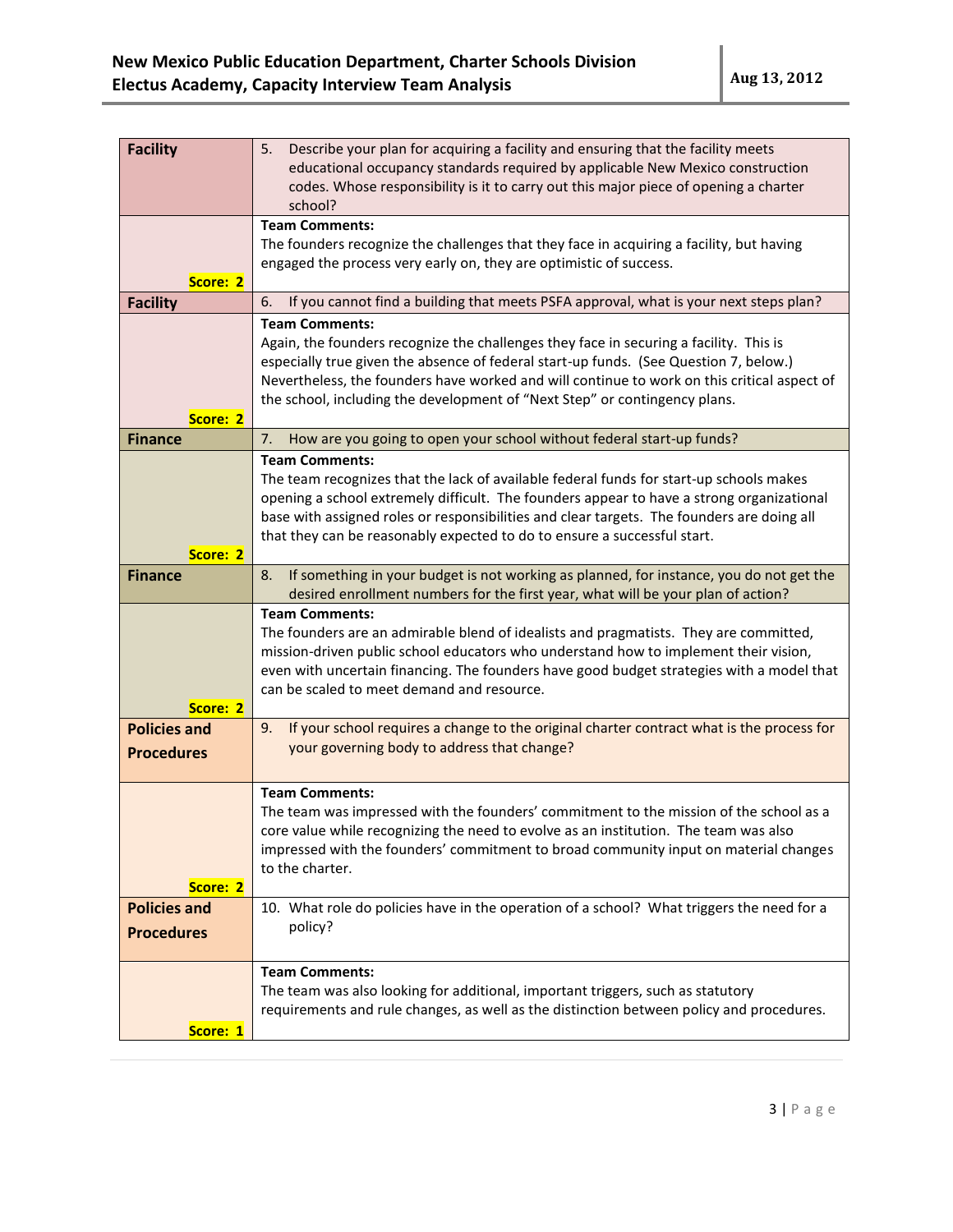| <b>Facility</b>                          | 5.<br>Describe your plan for acquiring a facility and ensuring that the facility meets<br>educational occupancy standards required by applicable New Mexico construction<br>codes. Whose responsibility is it to carry out this major piece of opening a charter<br>school?                                                                                                             |
|------------------------------------------|-----------------------------------------------------------------------------------------------------------------------------------------------------------------------------------------------------------------------------------------------------------------------------------------------------------------------------------------------------------------------------------------|
| Score: 2                                 | <b>Team Comments:</b><br>The founders recognize the challenges that they face in acquiring a facility, but having<br>engaged the process very early on, they are optimistic of success.                                                                                                                                                                                                 |
| <b>Facility</b>                          | If you cannot find a building that meets PSFA approval, what is your next steps plan?<br>6.                                                                                                                                                                                                                                                                                             |
| Score: 2                                 | <b>Team Comments:</b><br>Again, the founders recognize the challenges they face in securing a facility. This is<br>especially true given the absence of federal start-up funds. (See Question 7, below.)<br>Nevertheless, the founders have worked and will continue to work on this critical aspect of<br>the school, including the development of "Next Step" or contingency plans.   |
| <b>Finance</b>                           | How are you going to open your school without federal start-up funds?<br>7.                                                                                                                                                                                                                                                                                                             |
| Score: 2                                 | <b>Team Comments:</b><br>The team recognizes that the lack of available federal funds for start-up schools makes<br>opening a school extremely difficult. The founders appear to have a strong organizational<br>base with assigned roles or responsibilities and clear targets. The founders are doing all<br>that they can be reasonably expected to do to ensure a successful start. |
| <b>Finance</b>                           | If something in your budget is not working as planned, for instance, you do not get the<br>8.<br>desired enrollment numbers for the first year, what will be your plan of action?                                                                                                                                                                                                       |
| Score: 2                                 | <b>Team Comments:</b><br>The founders are an admirable blend of idealists and pragmatists. They are committed,<br>mission-driven public school educators who understand how to implement their vision,<br>even with uncertain financing. The founders have good budget strategies with a model that<br>can be scaled to meet demand and resource.                                       |
| <b>Policies and</b><br><b>Procedures</b> | If your school requires a change to the original charter contract what is the process for<br>9.<br>your governing body to address that change?                                                                                                                                                                                                                                          |
| Score: 2                                 | <b>Team Comments:</b><br>The team was impressed with the founders' commitment to the mission of the school as a<br>core value while recognizing the need to evolve as an institution. The team was also<br>impressed with the founders' commitment to broad community input on material changes<br>to the charter.                                                                      |
| <b>Policies and</b><br><b>Procedures</b> | 10. What role do policies have in the operation of a school? What triggers the need for a<br>policy?                                                                                                                                                                                                                                                                                    |
| Score: 1                                 | <b>Team Comments:</b><br>The team was also looking for additional, important triggers, such as statutory<br>requirements and rule changes, as well as the distinction between policy and procedures.                                                                                                                                                                                    |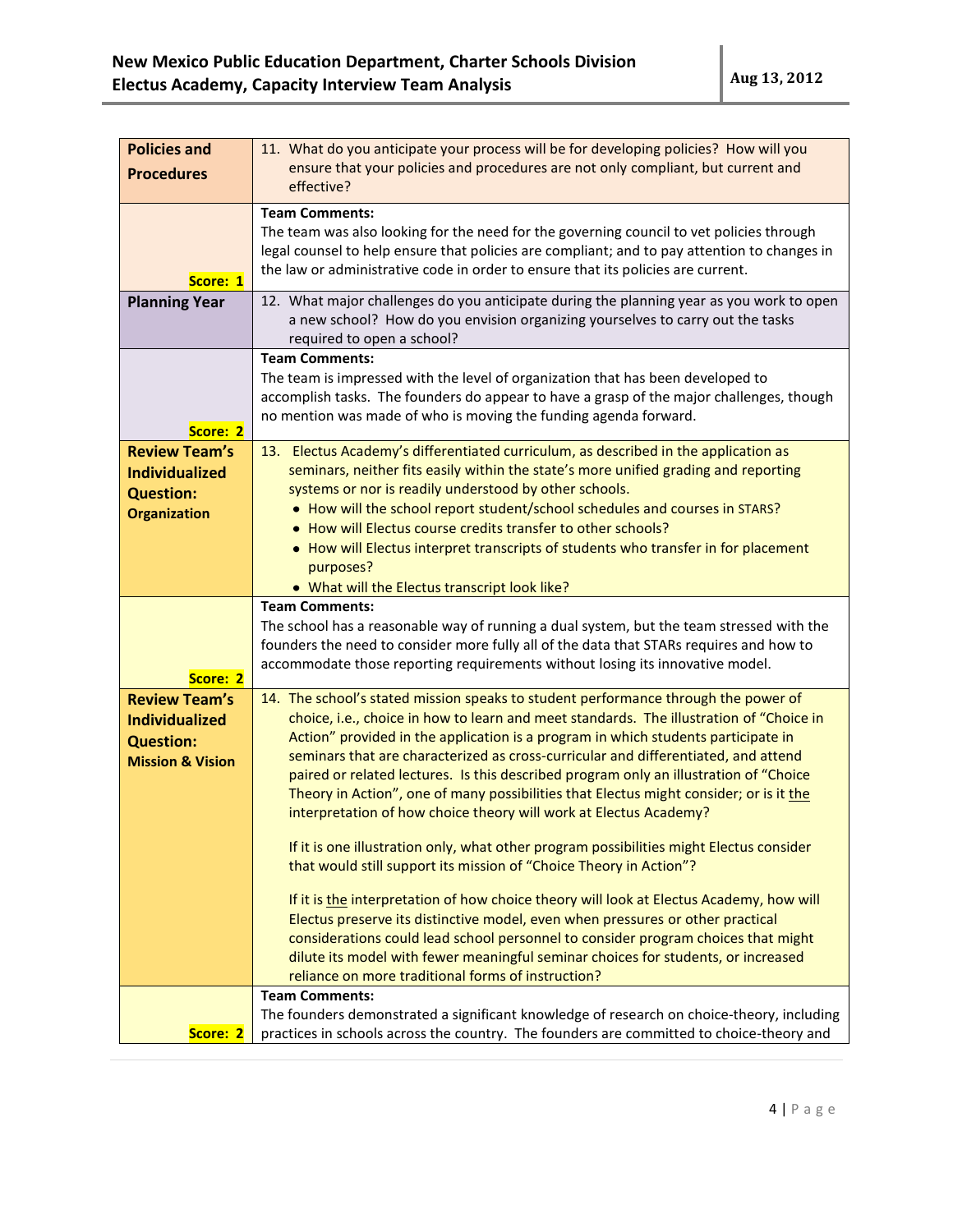| <b>Policies and</b>         | 11. What do you anticipate your process will be for developing policies? How will you                                                                                                 |
|-----------------------------|---------------------------------------------------------------------------------------------------------------------------------------------------------------------------------------|
| <b>Procedures</b>           | ensure that your policies and procedures are not only compliant, but current and                                                                                                      |
|                             | effective?                                                                                                                                                                            |
|                             | <b>Team Comments:</b>                                                                                                                                                                 |
|                             | The team was also looking for the need for the governing council to vet policies through                                                                                              |
|                             | legal counsel to help ensure that policies are compliant; and to pay attention to changes in                                                                                          |
| Score: 1                    | the law or administrative code in order to ensure that its policies are current.                                                                                                      |
| <b>Planning Year</b>        | 12. What major challenges do you anticipate during the planning year as you work to open                                                                                              |
|                             | a new school? How do you envision organizing yourselves to carry out the tasks                                                                                                        |
|                             | required to open a school?                                                                                                                                                            |
|                             | <b>Team Comments:</b>                                                                                                                                                                 |
|                             | The team is impressed with the level of organization that has been developed to                                                                                                       |
|                             | accomplish tasks. The founders do appear to have a grasp of the major challenges, though                                                                                              |
| Score: 2                    | no mention was made of who is moving the funding agenda forward.                                                                                                                      |
| <b>Review Team's</b>        | 13. Electus Academy's differentiated curriculum, as described in the application as                                                                                                   |
| <b>Individualized</b>       | seminars, neither fits easily within the state's more unified grading and reporting                                                                                                   |
| <b>Question:</b>            | systems or nor is readily understood by other schools.                                                                                                                                |
| <b>Organization</b>         | • How will the school report student/school schedules and courses in STARS?                                                                                                           |
|                             | • How will Electus course credits transfer to other schools?                                                                                                                          |
|                             | • How will Electus interpret transcripts of students who transfer in for placement                                                                                                    |
|                             | purposes?                                                                                                                                                                             |
|                             | . What will the Electus transcript look like?                                                                                                                                         |
|                             | <b>Team Comments:</b>                                                                                                                                                                 |
|                             | The school has a reasonable way of running a dual system, but the team stressed with the                                                                                              |
|                             | founders the need to consider more fully all of the data that STARs requires and how to<br>accommodate those reporting requirements without losing its innovative model.              |
| Score: 2                    |                                                                                                                                                                                       |
| <b>Review Team's</b>        | 14. The school's stated mission speaks to student performance through the power of                                                                                                    |
| <b>Individualized</b>       | choice, i.e., choice in how to learn and meet standards. The illustration of "Choice in                                                                                               |
| <b>Question:</b>            | Action" provided in the application is a program in which students participate in                                                                                                     |
| <b>Mission &amp; Vision</b> | seminars that are characterized as cross-curricular and differentiated, and attend                                                                                                    |
|                             | paired or related lectures. Is this described program only an illustration of "Choice                                                                                                 |
|                             | Theory in Action", one of many possibilities that Electus might consider; or is it the<br>interpretation of how choice theory will work at Electus Academy?                           |
|                             |                                                                                                                                                                                       |
|                             | If it is one illustration only, what other program possibilities might Electus consider                                                                                               |
|                             | that would still support its mission of "Choice Theory in Action"?                                                                                                                    |
|                             |                                                                                                                                                                                       |
|                             | If it is the interpretation of how choice theory will look at Electus Academy, how will<br>Electus preserve its distinctive model, even when pressures or other practical             |
|                             |                                                                                                                                                                                       |
|                             |                                                                                                                                                                                       |
|                             | considerations could lead school personnel to consider program choices that might                                                                                                     |
|                             | dilute its model with fewer meaningful seminar choices for students, or increased                                                                                                     |
|                             | reliance on more traditional forms of instruction?<br><b>Team Comments:</b>                                                                                                           |
|                             | The founders demonstrated a significant knowledge of research on choice-theory, including<br>practices in schools across the country. The founders are committed to choice-theory and |